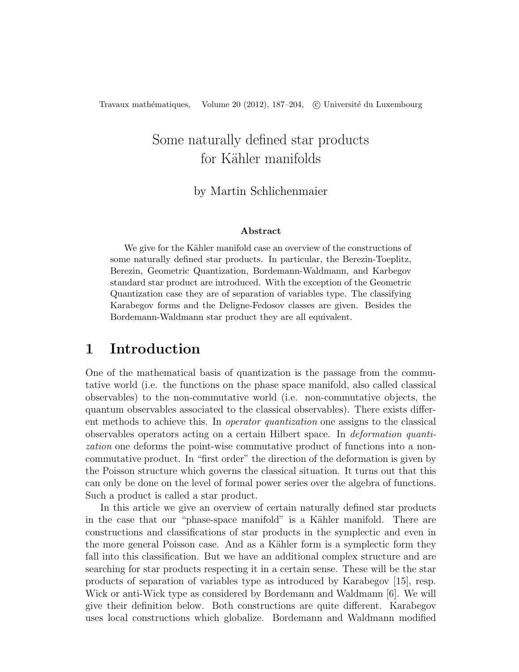# Some naturally defined star products for Kähler manifolds

#### by Martin Schlichenmaier

#### Abstract

We give for the Kähler manifold case an overview of the constructions of some naturally defined star products. In particular, the Berezin-Toeplitz, Berezin, Geometric Quantization, Bordemann-Waldmann, and Karbegov standard star product are introduced. With the exception of the Geometric Quantization case they are of separation of variables type. The classifying Karabegov forms and the Deligne-Fedosov classes are given. Besides the Bordemann-Waldmann star product they are all equivalent.

### 1 Introduction

One of the mathematical basis of quantization is the passage from the commutative world (i.e. the functions on the phase space manifold, also called classical observables) to the non-commutative world (i.e. non-commutative objects, the quantum observables associated to the classical observables). There exists different methods to achieve this. In operator quantization one assigns to the classical observables operators acting on a certain Hilbert space. In deformation quantization one deforms the point-wise commutative product of functions into a noncommutative product. In "first order" the direction of the deformation is given by the Poisson structure which governs the classical situation. It turns out that this can only be done on the level of formal power series over the algebra of functions. Such a product is called a star product.

In this article we give an overview of certain naturally defined star products in the case that our "phase-space manifold" is a Kähler manifold. There are constructions and classifications of star products in the symplectic and even in the more general Poisson case. And as a Kähler form is a symplectic form they fall into this classification. But we have an additional complex structure and are searching for star products respecting it in a certain sense. These will be the star products of separation of variables type as introduced by Karabegov [15], resp. Wick or anti-Wick type as considered by Bordemann and Waldmann [6]. We will give their definition below. Both constructions are quite different. Karabegov uses local constructions which globalize. Bordemann and Waldmann modified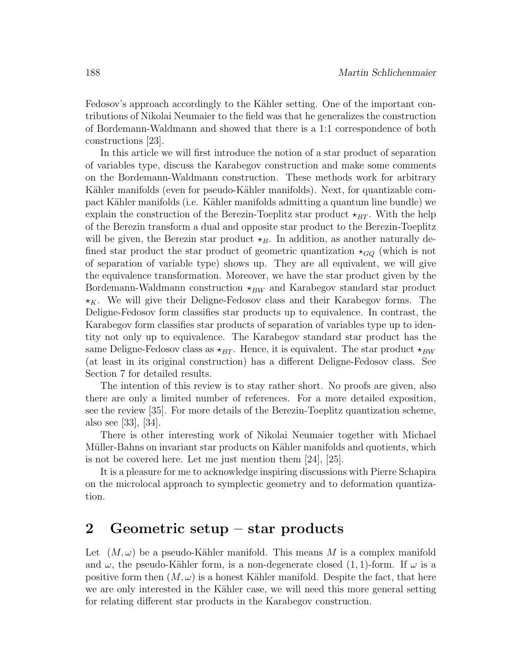Fedosov's approach accordingly to the Kähler setting. One of the important contributions of Nikolai Neumaier to the field was that he generalizes the construction of Bordemann-Waldmann and showed that there is a 1:1 correspondence of both constructions [23].

In this article we will first introduce the notion of a star product of separation of variables type, discuss the Karabegov construction and make some comments on the Bordemann-Waldmann construction. These methods work for arbitrary Kähler manifolds (even for pseudo-Kähler manifolds). Next, for quantizable compact Kähler manifolds (i.e. Kähler manifolds admitting a quantum line bundle) we explain the construction of the Berezin-Toeplitz star product  $\star_{BT}$ . With the help of the Berezin transform a dual and opposite star product to the Berezin-Toeplitz will be given, the Berezin star product  $\star_B$ . In addition, as another naturally defined star product the star product of geometric quantization  $\star_{GQ}$  (which is not of separation of variable type) shows up. They are all equivalent, we will give the equivalence transformation. Moreover, we have the star product given by the Bordemann-Waldmann construction  $\star_{BW}$  and Karabegov standard star product  $\star$ <sub>K</sub>. We will give their Deligne-Fedosov class and their Karabegov forms. The Deligne-Fedosov form classifies star products up to equivalence. In contrast, the Karabegov form classifies star products of separation of variables type up to identity not only up to equivalence. The Karabegov standard star product has the same Deligne-Fedosov class as  $\star_{BT}$ . Hence, it is equivalent. The star product  $\star_{BW}$ (at least in its original construction) has a different Deligne-Fedosov class. See Section 7 for detailed results.

The intention of this review is to stay rather short. No proofs are given, also there are only a limited number of references. For a more detailed exposition, see the review [35]. For more details of the Berezin-Toeplitz quantization scheme, also see [33], [34].

There is other interesting work of Nikolai Neumaier together with Michael Müller-Bahns on invariant star products on Kähler manifolds and quotients, which is not be covered here. Let me just mention them [24], [25].

It is a pleasure for me to acknowledge inspiring discussions with Pierre Schapira on the microlocal approach to symplectic geometry and to deformation quantization.

### 2 Geometric setup – star products

Let  $(M, \omega)$  be a pseudo-Kähler manifold. This means M is a complex manifold and  $\omega$ , the pseudo-Kähler form, is a non-degenerate closed  $(1, 1)$ -form. If  $\omega$  is a positive form then  $(M, \omega)$  is a honest Kähler manifold. Despite the fact, that here we are only interested in the Kähler case, we will need this more general setting for relating different star products in the Karabegov construction.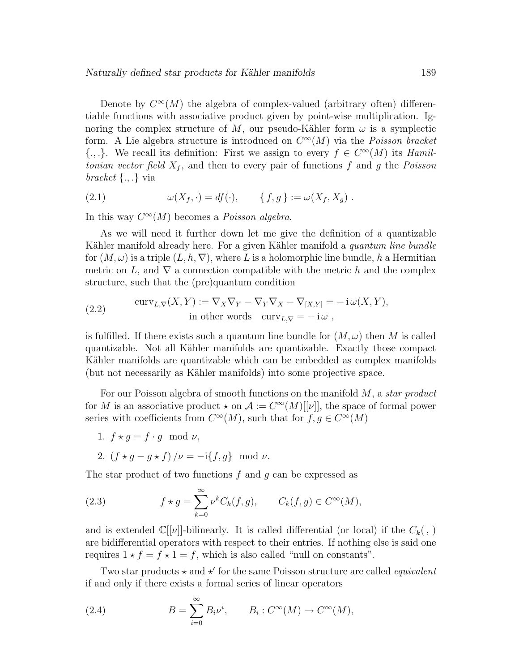Denote by  $C^{\infty}(M)$  the algebra of complex-valued (arbitrary often) differentiable functions with associative product given by point-wise multiplication. Ignoring the complex structure of M, our pseudo-Kähler form  $\omega$  is a symplectic form. A Lie algebra structure is introduced on  $C^{\infty}(M)$  via the *Poisson bracket*  $\{.,.\}$ . We recall its definition: First we assign to every  $f \in C^{\infty}(M)$  its Hamiltonian vector field  $X_f$ , and then to every pair of functions f and g the Poisson bracket  $\{.,.\}$  via

(2.1) 
$$
\omega(X_f, \cdot) = df(\cdot), \qquad \{f, g\} := \omega(X_f, X_g) .
$$

In this way  $C^{\infty}(M)$  becomes a *Poisson algebra*.

As we will need it further down let me give the definition of a quantizable Kähler manifold already here. For a given Kähler manifold a *quantum line bundle* for  $(M, \omega)$  is a triple  $(L, h, \nabla)$ , where L is a holomorphic line bundle, h a Hermitian metric on L, and  $\nabla$  a connection compatible with the metric h and the complex structure, such that the (pre)quantum condition

(2.2) 
$$
\operatorname{curv}_{L,\nabla}(X,Y) := \nabla_X \nabla_Y - \nabla_Y \nabla_X - \nabla_{[X,Y]} = -\mathrm{i} \,\omega(X,Y),
$$
  
in other words 
$$
\operatorname{curv}_{L,\nabla} = -\mathrm{i} \,\omega,
$$

is fulfilled. If there exists such a quantum line bundle for  $(M, \omega)$  then M is called quantizable. Not all Kähler manifolds are quantizable. Exactly those compact Kähler manifolds are quantizable which can be embedded as complex manifolds (but not necessarily as Kähler manifolds) into some projective space.

For our Poisson algebra of smooth functions on the manifold M, a *star product* for M is an associative product  $\star$  on  $\mathcal{A} := C^{\infty}(M)[[\nu]]$ , the space of formal power series with coefficients from  $C^{\infty}(M)$ , such that for  $f, g \in C^{\infty}(M)$ 

1.  $f \star q = f \cdot q \mod \nu$ ,

2. 
$$
(f \star g - g \star f)/\nu = -i\{f, g\}
$$
 mod  $\nu$ .

The star product of two functions  $f$  and  $g$  can be expressed as

(2.3) 
$$
f \star g = \sum_{k=0}^{\infty} \nu^k C_k(f, g), \qquad C_k(f, g) \in C^{\infty}(M),
$$

and is extended  $\mathbb{C}[[\nu]]$ -bilinearly. It is called differential (or local) if the  $C_k($ , ) are bidifferential operators with respect to their entries. If nothing else is said one requires  $1 \star f = f \star 1 = f$ , which is also called "null on constants".

Two star products  $\star$  and  $\star'$  for the same Poisson structure are called *equivalent* if and only if there exists a formal series of linear operators

(2.4) 
$$
B = \sum_{i=0}^{\infty} B_i \nu^i, \qquad B_i : C^{\infty}(M) \to C^{\infty}(M),
$$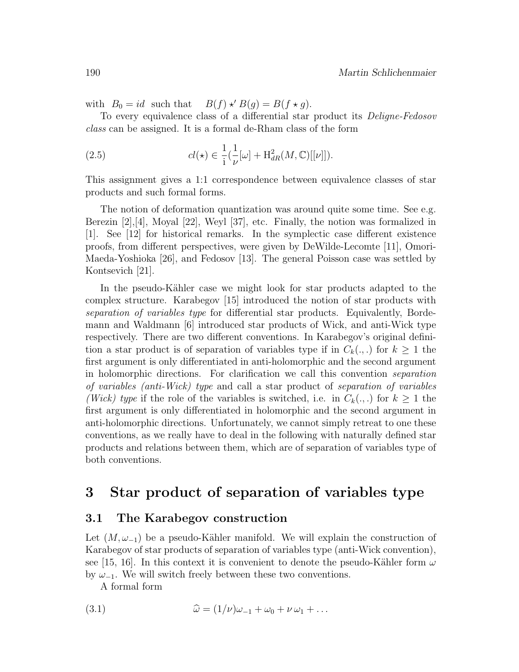with  $B_0 = id$  such that  $B(f) \star' B(g) = B(f \star g)$ .

To every equivalence class of a differential star product its Deligne-Fedosov class can be assigned. It is a formal de-Rham class of the form

(2.5) 
$$
cl(\star) \in \frac{1}{\mathrm{i}}\left(\frac{1}{\nu}[\omega] + \mathrm{H}^2_{dR}(M,\mathbb{C})[[\nu]]\right).
$$

This assignment gives a 1:1 correspondence between equivalence classes of star products and such formal forms.

The notion of deformation quantization was around quite some time. See e.g. Berezin  $[2], [4],$  Moyal  $[22],$  Weyl  $[37],$  etc. Finally, the notion was formalized in [1]. See [12] for historical remarks. In the symplectic case different existence proofs, from different perspectives, were given by DeWilde-Lecomte [11], Omori-Maeda-Yoshioka [26], and Fedosov [13]. The general Poisson case was settled by Kontsevich [21].

In the pseudo-Kähler case we might look for star products adapted to the complex structure. Karabegov [15] introduced the notion of star products with separation of variables type for differential star products. Equivalently, Bordemann and Waldmann [6] introduced star products of Wick, and anti-Wick type respectively. There are two different conventions. In Karabegov's original definition a star product is of separation of variables type if in  $C_k(.,.)$  for  $k \geq 1$  the first argument is only differentiated in anti-holomorphic and the second argument in holomorphic directions. For clarification we call this convention separation of variables (anti-Wick) type and call a star product of separation of variables (Wick) type if the role of the variables is switched, i.e. in  $C_k(.,.)$  for  $k \geq 1$  the first argument is only differentiated in holomorphic and the second argument in anti-holomorphic directions. Unfortunately, we cannot simply retreat to one these conventions, as we really have to deal in the following with naturally defined star products and relations between them, which are of separation of variables type of both conventions.

### 3 Star product of separation of variables type

#### 3.1 The Karabegov construction

Let  $(M, \omega_{-1})$  be a pseudo-Kähler manifold. We will explain the construction of Karabegov of star products of separation of variables type (anti-Wick convention), see [15, 16]. In this context it is convenient to denote the pseudo-Kähler form  $\omega$ by  $\omega_{-1}$ . We will switch freely between these two conventions.

A formal form

(3.1) 
$$
\widehat{\omega} = (1/\nu)\omega_{-1} + \omega_0 + \nu \omega_1 + \dots
$$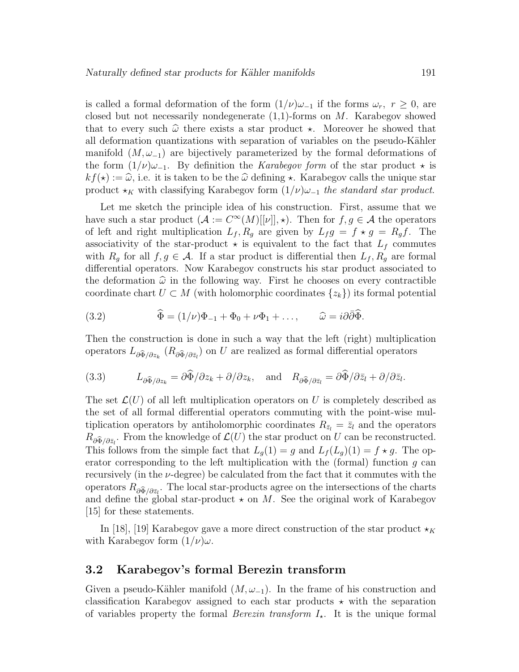is called a formal deformation of the form  $(1/\nu)\omega_{-1}$  if the forms  $\omega_r$ ,  $r \geq 0$ , are closed but not necessarily nondegenerate  $(1,1)$ -forms on M. Karabegov showed that to every such  $\hat{\omega}$  there exists a star product  $\star$ . Moreover he showed that all deformation quantizations with separation of variables on the pseudo-Kähler manifold  $(M, \omega_{-1})$  are bijectively parameterized by the formal deformations of the form  $(1/\nu)\omega_{-1}$ . By definition the Karabegov form of the star product  $\star$  is  $kf(\star) := \widehat{\omega}$ , i.e. it is taken to be the  $\widehat{\omega}$  defining  $\star$ . Karabegov calls the unique star product  $\star_K$  with classifying Karabegov form  $(1/\nu)\omega_{-1}$  the standard star product.

Let me sketch the principle idea of his construction. First, assume that we have such a star product  $(A := C^{\infty}(M)[[\nu]], \star)$ . Then for  $f, g \in \mathcal{A}$  the operators of left and right multiplication  $L_f$ ,  $R_g$  are given by  $L_f g = f * g = R_g f$ . The associativity of the star-product  $\star$  is equivalent to the fact that  $L_f$  commutes with  $R_g$  for all  $f, g \in \mathcal{A}$ . If a star product is differential then  $L_f, R_g$  are formal differential operators. Now Karabegov constructs his star product associated to the deformation  $\hat{\omega}$  in the following way. First he chooses on every contractible coordinate chart  $U \subset M$  (with holomorphic coordinates  $\{z_k\}$ ) its formal potential

(3.2) 
$$
\widehat{\Phi} = (1/\nu)\Phi_{-1} + \Phi_0 + \nu\Phi_1 + \dots, \qquad \widehat{\omega} = i\partial\bar{\partial}\widehat{\Phi}.
$$

Then the construction is done in such a way that the left (right) multiplication operators  $L_{\partial \widehat{\Phi}/\partial z_k}$   $(R_{\partial \widehat{\Phi}/\partial \bar{z}_l})$  on U are realized as formal differential operators

(3.3) 
$$
L_{\partial \widehat{\Phi}/\partial z_k} = \partial \widehat{\Phi}/\partial z_k + \partial/\partial z_k, \text{ and } R_{\partial \widehat{\Phi}/\partial \bar{z}_l} = \partial \widehat{\Phi}/\partial \bar{z}_l + \partial/\partial \bar{z}_l.
$$

The set  $\mathcal{L}(U)$  of all left multiplication operators on U is completely described as the set of all formal differential operators commuting with the point-wise multiplication operators by antiholomorphic coordinates  $R_{\bar{z}_l} = \bar{z}_l$  and the operators  $R_{\partial \tilde{\Phi}/\partial \tilde{z}_l}$ . From the knowledge of  $\mathcal{L}(U)$  the star product on U can be reconstructed. This follows from the simple fact that  $L_q(1) = g$  and  $L_f(L_q)(1) = f \star g$ . The operator corresponding to the left multiplication with the (formal) function  $q$  can recursively (in the  $\nu$ -degree) be calculated from the fact that it commutes with the operators  $R_{\partial \widehat{\Phi}}/\partial \overline{z}_l$ . The local star-products agree on the intersections of the charts and define the global star-product  $\star$  on M. See the original work of Karabegov [15] for these statements.

In [18], [19] Karabegov gave a more direct construction of the star product  $\star_K$ with Karabegov form  $(1/\nu)\omega$ .

#### 3.2 Karabegov's formal Berezin transform

Given a pseudo-Kähler manifold  $(M, \omega_{-1})$ . In the frame of his construction and classification Karabegov assigned to each star products  $\star$  with the separation of variables property the formal *Berezin transform*  $I_{\star}$ . It is the unique formal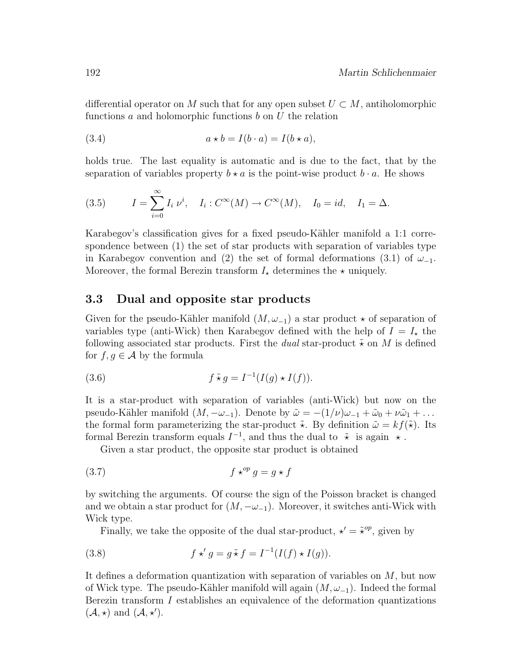differential operator on M such that for any open subset  $U \subset M$ , antiholomorphic functions  $a$  and holomorphic functions  $b$  on  $U$  the relation

(3.4) 
$$
a \star b = I(b \cdot a) = I(b \star a),
$$

holds true. The last equality is automatic and is due to the fact, that by the separation of variables property  $b \star a$  is the point-wise product  $b \cdot a$ . He shows

(3.5) 
$$
I = \sum_{i=0}^{\infty} I_i \nu^i, \quad I_i : C^{\infty}(M) \to C^{\infty}(M), \quad I_0 = id, \quad I_1 = \Delta.
$$

Karabegov's classification gives for a fixed pseudo-Kähler manifold a 1:1 correspondence between (1) the set of star products with separation of variables type in Karabegov convention and (2) the set of formal deformations (3.1) of  $\omega_{-1}$ . Moreover, the formal Berezin transform  $I_{\star}$  determines the  $\star$  uniquely.

#### 3.3 Dual and opposite star products

Given for the pseudo-Kähler manifold  $(M, \omega_{-1})$  a star product  $\star$  of separation of variables type (anti-Wick) then Karabegov defined with the help of  $I = I_{\star}$  the following associated star products. First the *dual* star-product  $\tilde{\star}$  on M is defined for  $f, g \in \mathcal{A}$  by the formula

(3.6) 
$$
f \tilde{\star} g = I^{-1}(I(g) \star I(f)).
$$

It is a star-product with separation of variables (anti-Wick) but now on the pseudo-Kähler manifold  $(M, -\omega_{-1})$ . Denote by  $\tilde{\omega} = -(1/\nu)\omega_{-1} + \tilde{\omega}_0 + \nu\tilde{\omega}_1 + \ldots$ the formal form parameterizing the star-product  $\tilde{\star}$ . By definition  $\tilde{\omega} = kf(\tilde{\star})$ . Its formal Berezin transform equals  $I^{-1}$ , and thus the dual to  $\tilde{\star}$  is again  $\star$ .

Given a star product, the opposite star product is obtained

$$
(3.7) \t\t f \star^{op} g = g \star f
$$

by switching the arguments. Of course the sign of the Poisson bracket is changed and we obtain a star product for  $(M, -\omega_{-1})$ . Moreover, it switches anti-Wick with Wick type.

Finally, we take the opposite of the dual star-product,  $\star' = \tilde{\star}^{op}$ , given by

(3.8) 
$$
f \star' g = g \tilde{\star} f = I^{-1}(I(f) \star I(g)).
$$

It defines a deformation quantization with separation of variables on M, but now of Wick type. The pseudo-Kähler manifold will again  $(M, \omega_{-1})$ . Indeed the formal Berezin transform I establishes an equivalence of the deformation quantizations  $(\mathcal{A}, \star)$  and  $(\mathcal{A}, \star')$ .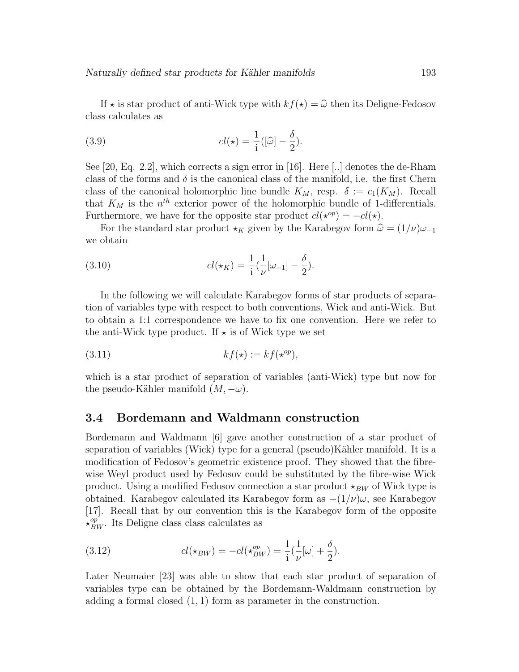If  $\star$  is star product of anti-Wick type with  $kf(\star) = \hat{\omega}$  then its Deligne-Fedosov class calculates as

(3.9) 
$$
cl(\star) = \frac{1}{i}([\widehat{\omega}] - \frac{\delta}{2}).
$$

See [20, Eq. 2.2], which corrects a sign error in [16]. Here [..] denotes the de-Rham class of the forms and  $\delta$  is the canonical class of the manifold, i.e. the first Chern class of the canonical holomorphic line bundle  $K_M$ , resp.  $\delta := c_1(K_M)$ . Recall that  $K_M$  is the  $n^{th}$  exterior power of the holomorphic bundle of 1-differentials. Furthermore, we have for the opposite star product  $cl(\star^{op}) = -cl(\star)$ .

For the standard star product  $\star_K$  given by the Karabegov form  $\hat{\omega} = (1/\nu)\omega_{-1}$ we obtain

(3.10) 
$$
cl(\star_K) = \frac{1}{i} \left( \frac{1}{\nu} [\omega_{-1}] - \frac{\delta}{2} \right).
$$

In the following we will calculate Karabegov forms of star products of separation of variables type with respect to both conventions, Wick and anti-Wick. But to obtain a 1:1 correspondence we have to fix one convention. Here we refer to the anti-Wick type product. If  $\star$  is of Wick type we set

$$
(3.11) \t\t kf(\star) := kf(\star^{op}),
$$

which is a star product of separation of variables (anti-Wick) type but now for the pseudo-Kähler manifold  $(M, -\omega)$ .

#### 3.4 Bordemann and Waldmann construction

Bordemann and Waldmann [6] gave another construction of a star product of separation of variables (Wick) type for a general (pseudo)Kähler manifold. It is a modification of Fedosov's geometric existence proof. They showed that the fibrewise Weyl product used by Fedosov could be substituted by the fibre-wise Wick product. Using a modified Fedosov connection a star product  $\star_{BW}$  of Wick type is obtained. Karabegov calculated its Karabegov form as  $-(1/\nu)\omega$ , see Karabegov [17]. Recall that by our convention this is the Karabegov form of the opposite  $\star_{BW}^{op}$ . Its Deligne class class calculates as

(3.12) 
$$
cl(\star_{BW}) = -cl(\star_{BW}^{op}) = \frac{1}{i}(\frac{1}{\nu}[\omega] + \frac{\delta}{2}).
$$

Later Neumaier [23] was able to show that each star product of separation of variables type can be obtained by the Bordemann-Waldmann construction by adding a formal closed  $(1, 1)$  form as parameter in the construction.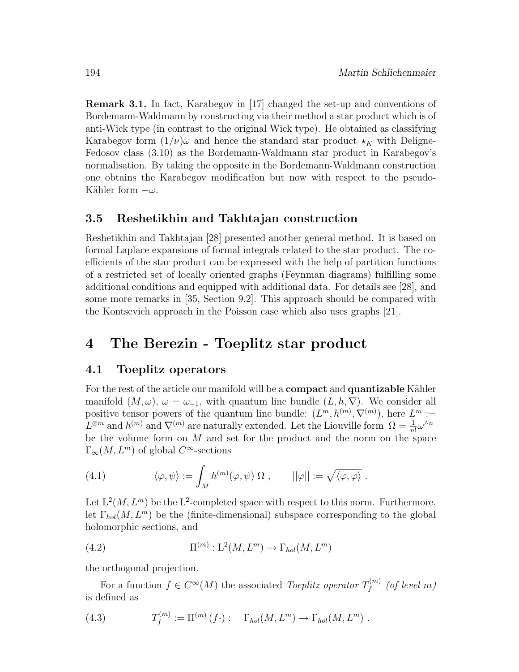Remark 3.1. In fact, Karabegov in [17] changed the set-up and conventions of Bordemann-Waldmann by constructing via their method a star product which is of anti-Wick type (in contrast to the original Wick type). He obtained as classifying Karabegov form  $(1/\nu)\omega$  and hence the standard star product  $\star_K$  with Deligne-Fedosov class (3.10) as the Bordemann-Waldmann star product in Karabegov's normalisation. By taking the opposite in the Bordemann-Waldmann construction one obtains the Karabegov modification but now with respect to the pseudo-Kähler form  $-\omega$ .

#### 3.5 Reshetikhin and Takhtajan construction

Reshetikhin and Takhtajan [28] presented another general method. It is based on formal Laplace expansions of formal integrals related to the star product. The coefficients of the star product can be expressed with the help of partition functions of a restricted set of locally oriented graphs (Feynman diagrams) fulfilling some additional conditions and equipped with additional data. For details see [28], and some more remarks in [35, Section 9.2]. This approach should be compared with the Kontsevich approach in the Poisson case which also uses graphs [21].

## 4 The Berezin - Toeplitz star product

#### 4.1 Toeplitz operators

For the rest of the article our manifold will be a **compact** and **quantizable** Kähler manifold  $(M, \omega)$ ,  $\omega = \omega_{-1}$ , with quantum line bundle  $(L, h, \nabla)$ . We consider all positive tensor powers of the quantum line bundle:  $(L^m, h^{(m)}, \nabla^{(m)})$ , here  $L^m :=$  $L^{\otimes m}$  and  $h^{(m)}$  and  $\nabla^{(m)}$  are naturally extended. Let the Liouville form  $\Omega = \frac{1}{n!} \omega^{\wedge n}$ be the volume form on  $M$  and set for the product and the norm on the space  $\Gamma_{\infty}(M, L^m)$  of global  $C^{\infty}$ -sections

(4.1) 
$$
\langle \varphi, \psi \rangle := \int_M h^{(m)}(\varphi, \psi) \Omega, \qquad ||\varphi|| := \sqrt{\langle \varphi, \varphi \rangle}.
$$

Let  $L^2(M, L^m)$  be the L<sup>2</sup>-completed space with respect to this norm. Furthermore, let  $\Gamma_{hol}(M, L^m)$  be the (finite-dimensional) subspace corresponding to the global holomorphic sections, and

(4.2) 
$$
\Pi^{(m)} : \mathcal{L}^2(M, \mathcal{L}^m) \to \Gamma_{hol}(M, \mathcal{L}^m)
$$

the orthogonal projection.

For a function  $f \in C^{\infty}(M)$  the associated *Toeplitz operator*  $T_f^{(m)}$  $\mathcal{F}^{(m)}_f$  (of level m) is defined as

(4.3) 
$$
T_f^{(m)} := \Pi^{(m)}(f \cdot) : \Gamma_{hol}(M, L^m) \to \Gamma_{hol}(M, L^m) .
$$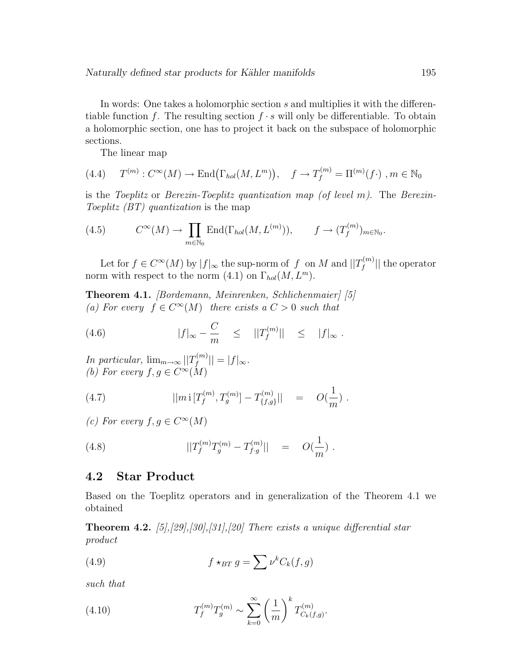In words: One takes a holomorphic section s and multiplies it with the differentiable function f. The resulting section  $f \cdot s$  will only be differentiable. To obtain a holomorphic section, one has to project it back on the subspace of holomorphic sections.

The linear map

$$
(4.4) \tT^{(m)} : C^{\infty}(M) \to \text{End}(\Gamma_{hol}(M, L^m)), \t f \to T_f^{(m)} = \Pi^{(m)}(f \cdot), m \in \mathbb{N}_0
$$

is the Toeplitz or Berezin-Toeplitz quantization map (of level m). The Berezin-Toeplitz (BT) quantization is the map

(4.5) 
$$
C^{\infty}(M) \to \prod_{m \in \mathbb{N}_0} \text{End}(\Gamma_{hol}(M, L^{(m)})), \qquad f \to (T_f^{(m)})_{m \in \mathbb{N}_0}.
$$

Let for  $f \in C^{\infty}(M)$  by  $|f|_{\infty}$  the sup-norm of f on M and  $||T_f^{(m)}||$  $||f^{(m)}||$  the operator norm with respect to the norm  $(4.1)$  on  $\Gamma_{hol}(M, L^m)$ .

Theorem 4.1. [Bordemann, Meinrenken, Schlichenmaier] [5] (a) For every  $f \in C^{\infty}(M)$  there exists a  $C > 0$  such that

(4.6) 
$$
|f|_{\infty} - \frac{C}{m} \le ||T_f^{(m)}|| \le |f|_{\infty}.
$$

In particular,  $\lim_{m\to\infty} ||T_f^{(m)}||$  $||f^{(m)}|| = |f|_{\infty}.$ (b) For every  $f, g \in C^{\infty}(M)$ 

(4.7) 
$$
||m \, \mathrm{i} \, [T_f^{(m)}, T_g^{(m)}] - T_{\{f,g\}}^{(m)}|| = O(\frac{1}{m}).
$$

(c) For every  $f, g \in C^{\infty}(M)$ 

(4.8) 
$$
||T_f^{(m)}T_g^{(m)} - T_{f \cdot g}^{(m)}|| = O(\frac{1}{m}).
$$

#### 4.2 Star Product

Based on the Toeplitz operators and in generalization of the Theorem 4.1 we obtained

**Theorem 4.2.** [5],[29],[30],[31],[20] There exists a unique differential star product

(4.9) 
$$
f \star_{BT} g = \sum \nu^k C_k(f, g)
$$

such that

(4.10) 
$$
T_f^{(m)} T_g^{(m)} \sim \sum_{k=0}^{\infty} \left(\frac{1}{m}\right)^k T_{C_k(f,g)}^{(m)}.
$$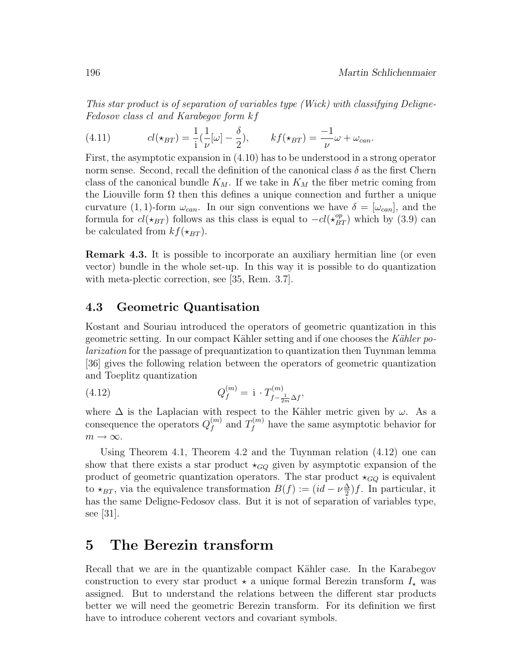This star product is of separation of variables type (Wick) with classifying Deligne-Fedosov class cl and Karabegov form kf

(4.11) 
$$
cl(\star_{BT}) = \frac{1}{i}(\frac{1}{\nu}[\omega] - \frac{\delta}{2}), \qquad kf(\star_{BT}) = \frac{-1}{\nu}\omega + \omega_{can}.
$$

First, the asymptotic expansion in (4.10) has to be understood in a strong operator norm sense. Second, recall the definition of the canonical class  $\delta$  as the first Chern class of the canonical bundle  $K_M$ . If we take in  $K_M$  the fiber metric coming from the Liouville form  $\Omega$  then this defines a unique connection and further a unique curvature (1, 1)-form  $\omega_{can}$ . In our sign conventions we have  $\delta = [\omega_{can}]$ , and the formula for  $cl(\star_{BT})$  follows as this class is equal to  $-cl(\star_{BT}^{op})$  which by (3.9) can be calculated from  $kf(\star_{BT})$ .

Remark 4.3. It is possible to incorporate an auxiliary hermitian line (or even vector) bundle in the whole set-up. In this way it is possible to do quantization with meta-plectic correction, see [35, Rem. 3.7].

#### 4.3 Geometric Quantisation

Kostant and Souriau introduced the operators of geometric quantization in this geometric setting. In our compact Kähler setting and if one chooses the Kähler polarization for the passage of prequantization to quantization then Tuynman lemma [36] gives the following relation between the operators of geometric quantization and Toeplitz quantization

(4.12) 
$$
Q_f^{(m)} = \mathbf{i} \cdot T_{f - \frac{1}{2m}\Delta f}^{(m)},
$$

where  $\Delta$  is the Laplacian with respect to the Kähler metric given by  $\omega$ . As a consequence the operators  $Q_f^{(m)}$  $f^{(m)}$  and  $T_f^{(m)}$  $f_f^{(m)}$  have the same asymptotic behavior for  $m \to \infty$ .

Using Theorem 4.1, Theorem 4.2 and the Tuynman relation (4.12) one can show that there exists a star product  $\star_{GQ}$  given by asymptotic expansion of the product of geometric quantization operators. The star product  $\star_{GQ}$  is equivalent to  $\star_{BT}$ , via the equivalence transformation  $B(f) := (id - \nu \frac{\Delta}{2})$  $\frac{\Delta}{2}$ )*f*. In particular, it has the same Deligne-Fedosov class. But it is not of separation of variables type, see [31].

### 5 The Berezin transform

Recall that we are in the quantizable compact Kähler case. In the Karabegov construction to every star product  $\star$  a unique formal Berezin transform  $I_{\star}$  was assigned. But to understand the relations between the different star products better we will need the geometric Berezin transform. For its definition we first have to introduce coherent vectors and covariant symbols.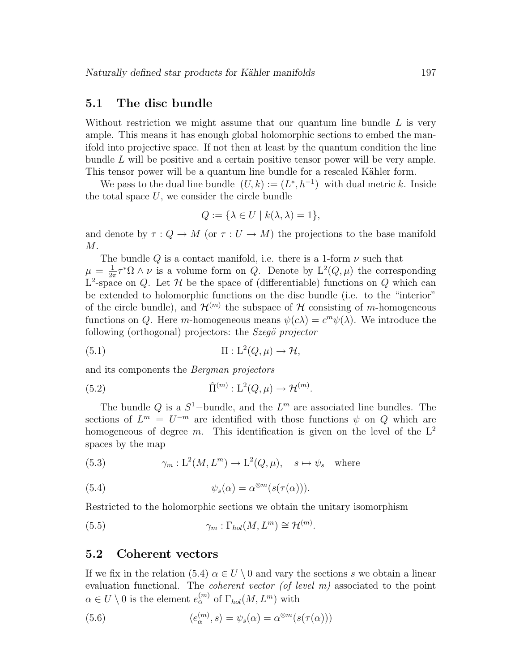#### 5.1 The disc bundle

Without restriction we might assume that our quantum line bundle  $L$  is very ample. This means it has enough global holomorphic sections to embed the manifold into projective space. If not then at least by the quantum condition the line bundle  $L$  will be positive and a certain positive tensor power will be very ample. This tensor power will be a quantum line bundle for a rescaled Kähler form.

We pass to the dual line bundle  $(U, k) := (L^*, h^{-1})$  with dual metric k. Inside the total space  $U$ , we consider the circle bundle

$$
Q := \{ \lambda \in U \mid k(\lambda, \lambda) = 1 \},
$$

and denote by  $\tau: Q \to M$  (or  $\tau: U \to M$ ) the projections to the base manifold  $M$ .

The bundle Q is a contact manifold, i.e. there is a 1-form  $\nu$  such that  $\mu = \frac{1}{2\pi}$  $\frac{1}{2\pi}\tau^*\Omega \wedge \nu$  is a volume form on Q. Denote by  $L^2(Q,\mu)$  the corresponding  $L^2$ -space on Q. Let H be the space of (differentiable) functions on Q which can be extended to holomorphic functions on the disc bundle (i.e. to the "interior" of the circle bundle), and  $\mathcal{H}^{(m)}$  the subspace of H consisting of m-homogeneous functions on Q. Here m-homogeneous means  $\psi(c\lambda) = c^m \psi(\lambda)$ . We introduce the following (orthogonal) projectors: the  $Szeg\ddot{o}$  projector

(5.1) 
$$
\Pi: L^2(Q, \mu) \to \mathcal{H},
$$

and its components the Bergman projectors

(5.2) 
$$
\hat{\Pi}^{(m)} : \mathcal{L}^2(Q, \mu) \to \mathcal{H}^{(m)}.
$$

The bundle Q is a  $S^1$ -bundle, and the  $L^m$  are associated line bundles. The sections of  $L^m = U^{-m}$  are identified with those functions  $\psi$  on  $Q$  which are homogeneous of degree m. This identification is given on the level of the  $L^2$ spaces by the map

(5.3) 
$$
\gamma_m: L^2(M, L^m) \to L^2(Q, \mu), \quad s \mapsto \psi_s \quad \text{where}
$$

(5.4) 
$$
\psi_s(\alpha) = \alpha^{\otimes m}(s(\tau(\alpha))).
$$

Restricted to the holomorphic sections we obtain the unitary isomorphism

(5.5) 
$$
\gamma_m : \Gamma_{hol}(M, L^m) \cong \mathcal{H}^{(m)}.
$$

#### 5.2 Coherent vectors

If we fix in the relation (5.4)  $\alpha \in U \setminus 0$  and vary the sections s we obtain a linear evaluation functional. The coherent vector (of level m) associated to the point  $\alpha \in U \setminus 0$  is the element  $e_{\alpha}^{(m)}$  of  $\Gamma_{hol}(M, L^m)$  with

(5.6) 
$$
\langle e_{\alpha}^{(m)}, s \rangle = \psi_s(\alpha) = \alpha^{\otimes m}(s(\tau(\alpha)))
$$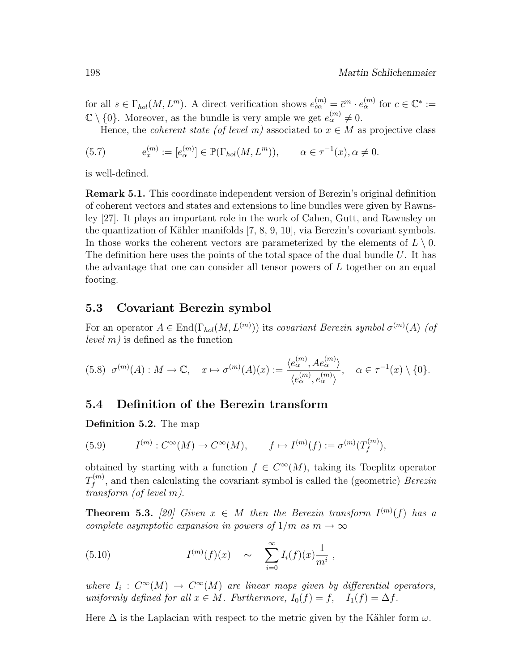for all  $s \in \Gamma_{hol}(M, L^m)$ . A direct verification shows  $e_{c\alpha}^{(m)} = \bar{c}^m \cdot e_{\alpha}^{(m)}$  for  $c \in \mathbb{C}^* :=$  $\mathbb{C} \setminus \{0\}$ . Moreover, as the bundle is very ample we get  $e_{\alpha}^{(m)} \neq 0$ .

Hence, the *coherent state* (of level m) associated to  $x \in M$  as projective class

(5.7) 
$$
e_x^{(m)} := [e_\alpha^{(m)}] \in \mathbb{P}(\Gamma_{hol}(M, L^m)), \qquad \alpha \in \tau^{-1}(x), \alpha \neq 0.
$$

is well-defined.

Remark 5.1. This coordinate independent version of Berezin's original definition of coherent vectors and states and extensions to line bundles were given by Rawnsley [27]. It plays an important role in the work of Cahen, Gutt, and Rawnsley on the quantization of Kähler manifolds  $(7, 8, 9, 10)$ , via Berezin's covariant symbols. In those works the coherent vectors are parameterized by the elements of  $L \setminus 0$ . The definition here uses the points of the total space of the dual bundle  $U$ . It has the advantage that one can consider all tensor powers of L together on an equal footing.

#### 5.3 Covariant Berezin symbol

For an operator  $A \in \text{End}(\Gamma_{hol}(M, L^{(m)}))$  its covariant Berezin symbol  $\sigma^{(m)}(A)$  (of *level*  $m$ ) is defined as the function

$$
(5.8) \ \sigma^{(m)}(A): M \to \mathbb{C}, \quad x \mapsto \sigma^{(m)}(A)(x) := \frac{\langle e_{\alpha}^{(m)}, A e_{\alpha}^{(m)} \rangle}{\langle e_{\alpha}^{(m)}, e_{\alpha}^{(m)} \rangle}, \quad \alpha \in \tau^{-1}(x) \setminus \{0\}.
$$

#### 5.4 Definition of the Berezin transform

Definition 5.2. The map

(5.9) 
$$
I^{(m)} : C^{\infty}(M) \to C^{\infty}(M), \qquad f \mapsto I^{(m)}(f) := \sigma^{(m)}(T_f^{(m)}),
$$

obtained by starting with a function  $f \in C^{\infty}(M)$ , taking its Toeplitz operator  $T^{(m)}_{{\scriptscriptstyle f}}$  $f_f^{(m)}$ , and then calculating the covariant symbol is called the (geometric) Berezin transform (of level m).

**Theorem 5.3.** [20] Given  $x \in M$  then the Berezin transform  $I^{(m)}(f)$  has a complete asymptotic expansion in powers of  $1/m$  as  $m \to \infty$ 

(5.10) 
$$
I^{(m)}(f)(x) \sim \sum_{i=0}^{\infty} I_i(f)(x) \frac{1}{m^i},
$$

where  $I_i: C^{\infty}(M) \to C^{\infty}(M)$  are linear maps given by differential operators, uniformly defined for all  $x \in M$ . Furthermore,  $I_0(f) = f$ ,  $I_1(f) = \Delta f$ .

Here  $\Delta$  is the Laplacian with respect to the metric given by the Kähler form  $\omega$ .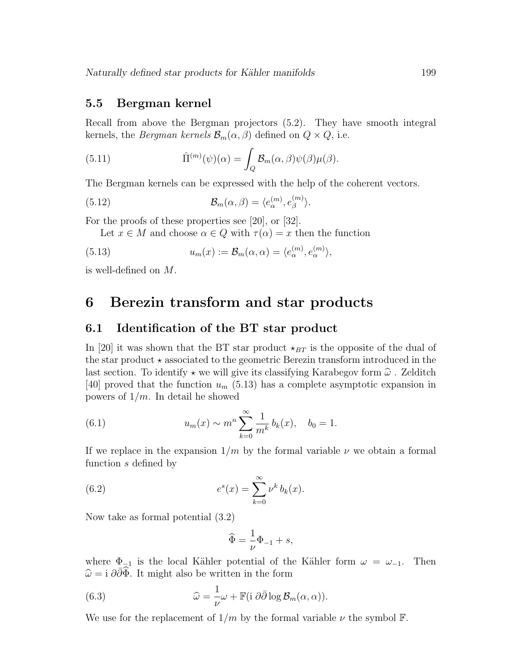#### 5.5 Bergman kernel

Recall from above the Bergman projectors (5.2). They have smooth integral kernels, the *Bergman kernels*  $\mathcal{B}_m(\alpha, \beta)$  defined on  $Q \times Q$ , i.e.

(5.11) 
$$
\hat{\Pi}^{(m)}(\psi)(\alpha) = \int_{Q} \mathcal{B}_{m}(\alpha, \beta) \psi(\beta) \mu(\beta).
$$

The Bergman kernels can be expressed with the help of the coherent vectors.

(5.12) 
$$
\mathcal{B}_m(\alpha,\beta) = \langle e_\alpha^{(m)}, e_\beta^{(m)} \rangle.
$$

For the proofs of these properties see [20], or [32].

Let  $x \in M$  and choose  $\alpha \in Q$  with  $\tau(\alpha) = x$  then the function

(5.13) 
$$
u_m(x) := \mathcal{B}_m(\alpha, \alpha) = \langle e_\alpha^{(m)}, e_\alpha^{(m)} \rangle,
$$

is well-defined on M.

### 6 Berezin transform and star products

### 6.1 Identification of the BT star product

In [20] it was shown that the BT star product  $\star_{BT}$  is the opposite of the dual of the star product  $\star$  associated to the geometric Berezin transform introduced in the last section. To identify  $\star$  we will give its classifying Karabegov form  $\hat{\omega}$ . Zelditch [40] proved that the function  $u_m$  (5.13) has a complete asymptotic expansion in powers of  $1/m$ . In detail he showed

(6.1) 
$$
u_m(x) \sim m^n \sum_{k=0}^{\infty} \frac{1}{m^k} b_k(x), \quad b_0 = 1.
$$

If we replace in the expansion  $1/m$  by the formal variable  $\nu$  we obtain a formal function s defined by

(6.2) 
$$
e^{s}(x) = \sum_{k=0}^{\infty} \nu^{k} b_{k}(x).
$$

Now take as formal potential (3.2)

$$
\widehat{\Phi} = \frac{1}{\nu} \Phi_{-1} + s,
$$

where  $\Phi_{-1}$  is the local Kähler potential of the Kähler form  $\omega = \omega_{-1}$ . Then  $\hat{\omega} = i \partial \bar{\partial} \hat{\Phi}$ . It might also be written in the form

(6.3) 
$$
\widehat{\omega} = \frac{1}{\nu} \omega + \mathbb{F} \left( i \partial \overline{\partial} \log \mathcal{B}_m(\alpha, \alpha) \right).
$$

We use for the replacement of  $1/m$  by the formal variable  $\nu$  the symbol F.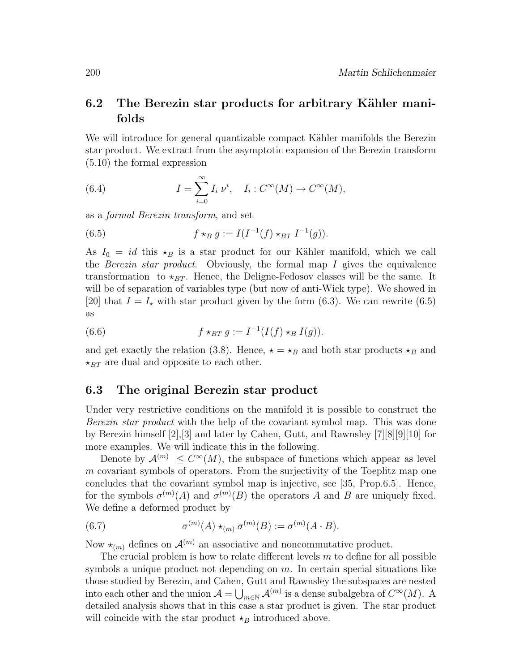### 6.2 The Berezin star products for arbitrary Kähler manifolds

We will introduce for general quantizable compact Kähler manifolds the Berezin star product. We extract from the asymptotic expansion of the Berezin transform (5.10) the formal expression

(6.4) 
$$
I = \sum_{i=0}^{\infty} I_i \nu^i, \quad I_i : C^{\infty}(M) \to C^{\infty}(M),
$$

as a formal Berezin transform, and set

(6.5) 
$$
f \star_B g := I(I^{-1}(f) \star_{BT} I^{-1}(g)).
$$

As  $I_0 = id$  this  $\star_B$  is a star product for our Kähler manifold, which we call the Berezin star product. Obviously, the formal map I gives the equivalence transformation to  $\star_{BT}$ . Hence, the Deligne-Fedosov classes will be the same. It will be of separation of variables type (but now of anti-Wick type). We showed in [20] that  $I = I_{\star}$  with star product given by the form (6.3). We can rewrite (6.5) as

(6.6) 
$$
f \star_{BT} g := I^{-1}(I(f) \star_B I(g)).
$$

and get exactly the relation (3.8). Hence,  $\star = \star_B$  and both star products  $\star_B$  and  $\star_{BT}$  are dual and opposite to each other.

#### 6.3 The original Berezin star product

Under very restrictive conditions on the manifold it is possible to construct the Berezin star product with the help of the covariant symbol map. This was done by Berezin himself [2],[3] and later by Cahen, Gutt, and Rawnsley [7][8][9][10] for more examples. We will indicate this in the following.

Denote by  $\mathcal{A}^{(m)} \leq C^{\infty}(M)$ , the subspace of functions which appear as level m covariant symbols of operators. From the surjectivity of the Toeplitz map one concludes that the covariant symbol map is injective, see [35, Prop.6.5]. Hence, for the symbols  $\sigma^{(m)}(A)$  and  $\sigma^{(m)}(B)$  the operators A and B are uniquely fixed. We define a deformed product by

(6.7) 
$$
\sigma^{(m)}(A) \star_{(m)} \sigma^{(m)}(B) := \sigma^{(m)}(A \cdot B).
$$

Now  $\star_{(m)}$  defines on  $\mathcal{A}^{(m)}$  an associative and noncommutative product.

The crucial problem is how to relate different levels  $m$  to define for all possible symbols a unique product not depending on  $m$ . In certain special situations like those studied by Berezin, and Cahen, Gutt and Rawnsley the subspaces are nested into each other and the union  $\mathcal{A} = \bigcup_{m \in \mathbb{N}} \mathcal{A}^{(m)}$  is a dense subalgebra of  $C^{\infty}(M)$ . A detailed analysis shows that in this case a star product is given. The star product will coincide with the star product  $\star_B$  introduced above.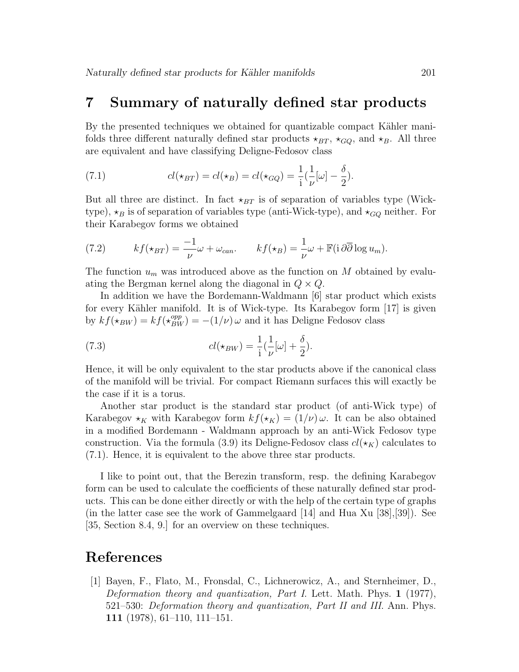### 7 Summary of naturally defined star products

By the presented techniques we obtained for quantizable compact Kähler manifolds three different naturally defined star products  $\star_{BT}$ ,  $\star_{GO}$ , and  $\star_B$ . All three are equivalent and have classifying Deligne-Fedosov class

(7.1) 
$$
cl(\star_{BT}) = cl(\star_B) = cl(\star_{GQ}) = \frac{1}{i}(\frac{1}{\nu}[\omega] - \frac{\delta}{2}).
$$

But all three are distinct. In fact  $\star_{BT}$  is of separation of variables type (Wicktype),  $\star_B$  is of separation of variables type (anti-Wick-type), and  $\star_{GQ}$  neither. For their Karabegov forms we obtained

(7.2) 
$$
kf(\star_{BT}) = \frac{-1}{\nu}\omega + \omega_{can}. \qquad kf(\star_B) = \frac{1}{\nu}\omega + \mathbb{F}(i\,\partial\overline{\partial}\log u_m).
$$

The function  $u_m$  was introduced above as the function on M obtained by evaluating the Bergman kernel along the diagonal in  $Q \times Q$ .

In addition we have the Bordemann-Waldmann [6] star product which exists for every Kähler manifold. It is of Wick-type. Its Karabegov form  $[17]$  is given by  $kf(\star_{BW}) = kf(\star_{BW}^{opp}) = -(1/\nu)\omega$  and it has Deligne Fedosov class

(7.3) 
$$
cl(\star_{BW}) = \frac{1}{i}(\frac{1}{\nu}[\omega] + \frac{\delta}{2}).
$$

Hence, it will be only equivalent to the star products above if the canonical class of the manifold will be trivial. For compact Riemann surfaces this will exactly be the case if it is a torus.

Another star product is the standard star product (of anti-Wick type) of Karabegov  $\star_K$  with Karabegov form  $kf(\star_K) = (1/\nu) \omega$ . It can be also obtained in a modified Bordemann - Waldmann approach by an anti-Wick Fedosov type construction. Via the formula (3.9) its Deligne-Fedosov class  $cl(\star_K)$  calculates to (7.1). Hence, it is equivalent to the above three star products.

I like to point out, that the Berezin transform, resp. the defining Karabegov form can be used to calculate the coefficients of these naturally defined star products. This can be done either directly or with the help of the certain type of graphs (in the latter case see the work of Gammelgaard [14] and Hua Xu [38],[39]). See [35, Section 8.4, 9.] for an overview on these techniques.

### References

[1] Bayen, F., Flato, M., Fronsdal, C., Lichnerowicz, A., and Sternheimer, D., Deformation theory and quantization, Part I. Lett. Math. Phys. 1 (1977), 521–530: Deformation theory and quantization, Part II and III. Ann. Phys. 111 (1978), 61–110, 111–151.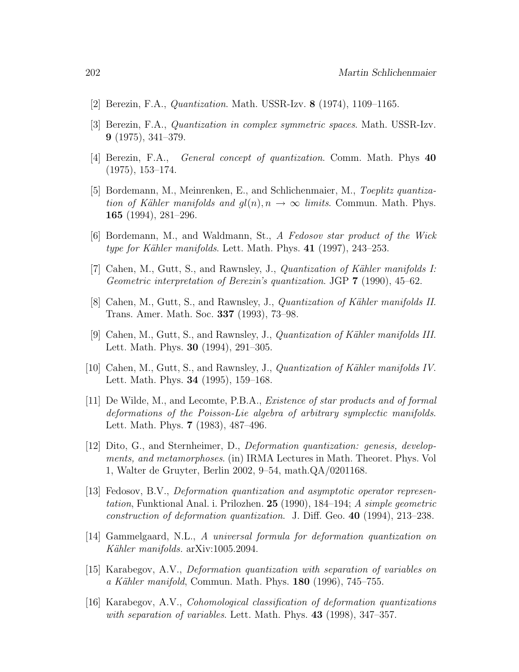- [2] Berezin, F.A., Quantization. Math. USSR-Izv. 8 (1974), 1109–1165.
- [3] Berezin, F.A., Quantization in complex symmetric spaces. Math. USSR-Izv. 9 (1975), 341–379.
- [4] Berezin, F.A., General concept of quantization. Comm. Math. Phys 40 (1975), 153–174.
- [5] Bordemann, M., Meinrenken, E., and Schlichenmaier, M., Toeplitz quantization of Kähler manifolds and  $gl(n), n \to \infty$  limits. Commun. Math. Phys. 165 (1994), 281–296.
- [6] Bordemann, M., and Waldmann, St., A Fedosov star product of the Wick type for Kähler manifolds. Lett. Math. Phys.  $41$  (1997), 243–253.
- [7] Cahen, M., Gutt, S., and Rawnsley, J., *Quantization of Kähler manifolds I:* Geometric interpretation of Berezin's quantization. JGP 7 (1990), 45–62.
- [8] Cahen, M., Gutt, S., and Rawnsley, J., *Quantization of Kähler manifolds II.* Trans. Amer. Math. Soc. 337 (1993), 73–98.
- [9] Cahen, M., Gutt, S., and Rawnsley, J., *Quantization of Kähler manifolds III.* Lett. Math. Phys. 30 (1994), 291–305.
- [10] Cahen, M., Gutt, S., and Rawnsley, J., Quantization of K¨ahler manifolds IV. Lett. Math. Phys. 34 (1995), 159–168.
- [11] De Wilde, M., and Lecomte, P.B.A., Existence of star products and of formal deformations of the Poisson-Lie algebra of arbitrary symplectic manifolds. Lett. Math. Phys. 7 (1983), 487–496.
- [12] Dito, G., and Sternheimer, D., Deformation quantization: genesis, developments, and metamorphoses. (in) IRMA Lectures in Math. Theoret. Phys. Vol 1, Walter de Gruyter, Berlin 2002, 9–54, math.QA/0201168.
- [13] Fedosov, B.V., Deformation quantization and asymptotic operator representation, Funktional Anal. i. Prilozhen. 25 (1990), 184–194; A simple geometric construction of deformation quantization. J. Diff. Geo. 40 (1994), 213–238.
- [14] Gammelgaard, N.L., A universal formula for deformation quantization on Kähler manifolds. arXiv:1005.2094.
- [15] Karabegov, A.V., Deformation quantization with separation of variables on a Kähler manifold, Commun. Math. Phys.  $180$  (1996), 745–755.
- [16] Karabegov, A.V., Cohomological classification of deformation quantizations with separation of variables. Lett. Math. Phys. 43 (1998), 347–357.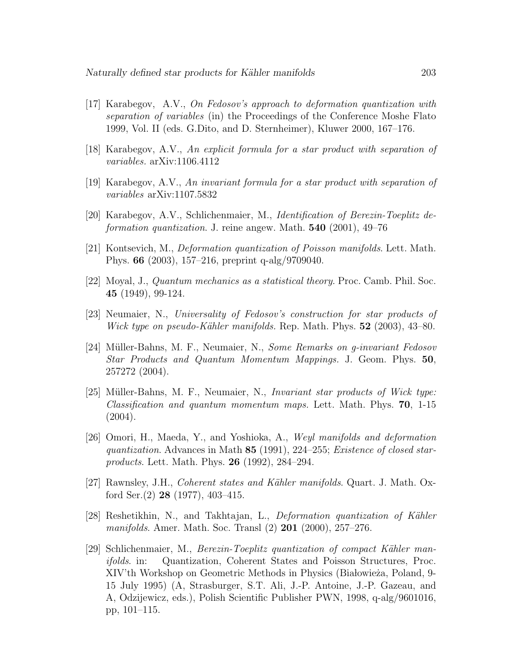- [17] Karabegov, A.V., On Fedosov's approach to deformation quantization with separation of variables (in) the Proceedings of the Conference Moshe Flato 1999, Vol. II (eds. G.Dito, and D. Sternheimer), Kluwer 2000, 167–176.
- [18] Karabegov, A.V., An explicit formula for a star product with separation of variables. arXiv:1106.4112
- [19] Karabegov, A.V., An invariant formula for a star product with separation of variables arXiv:1107.5832
- [20] Karabegov, A.V., Schlichenmaier, M., Identification of Berezin-Toeplitz deformation quantization. J. reine angew. Math. **540** (2001), 49–76
- [21] Kontsevich, M., Deformation quantization of Poisson manifolds. Lett. Math. Phys. 66 (2003), 157–216, preprint q-alg/9709040.
- [22] Moyal, J., Quantum mechanics as a statistical theory. Proc. Camb. Phil. Soc. 45 (1949), 99-124.
- [23] Neumaier, N., Universality of Fedosov's construction for star products of Wick type on pseudo-Kähler manifolds. Rep. Math. Phys.  $52$  (2003), 43–80.
- [24] Müller-Bahns, M. F., Neumaier, N., Some Remarks on g-invariant Fedosov Star Products and Quantum Momentum Mappings. J. Geom. Phys. 50, 257272 (2004).
- [25] Müller-Bahns, M. F., Neumaier, N., *Invariant star products of Wick type: Classification and quantum momentum maps.* Lett. Math. Phys.  $70$ , 1-15  $(2004).$
- [26] Omori, H., Maeda, Y., and Yoshioka, A., Weyl manifolds and deformation quantization. Advances in Math 85 (1991), 224–255; Existence of closed starproducts. Lett. Math. Phys. 26 (1992), 284–294.
- [27] Rawnsley, J.H., Coherent states and Kähler manifolds. Quart. J. Math. Oxford Ser. $(2)$  28 (1977), 403-415.
- [28] Reshetikhin, N., and Takhtajan, L., *Deformation quantization of Kähler* manifolds. Amer. Math. Soc. Transl (2) 201 (2000), 257–276.
- [29] Schlichenmaier, M., *Berezin-Toeplitz quantization of compact Kähler man*ifolds. in: Quantization, Coherent States and Poisson Structures, Proc. XIV'th Workshop on Geometric Methods in Physics (Białowieża, Poland, 9-15 July 1995) (A, Strasburger, S.T. Ali, J.-P. Antoine, J.-P. Gazeau, and A, Odzijewicz, eds.), Polish Scientific Publisher PWN, 1998, q-alg/9601016, pp, 101–115.